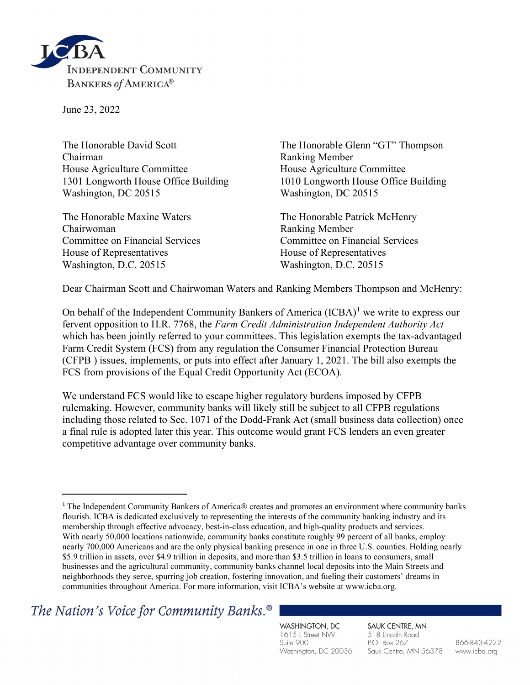

June 23, 2022

The Honorable David Scott The Honorable Glenn "GT" Thompson Chairman Ranking Member House Agriculture Committee House Agriculture Committee 1301 Longworth House Office Building 1010 Longworth House Office Building Washington, DC 20515 Washington, DC 20515

The Honorable Maxine Waters The Honorable Patrick McHenry Chairwoman Ranking Member Committee on Financial Services Committee on Financial Services House of Representatives House of Representatives Washington, D.C. 20515 Washington, D.C. 20515

Dear Chairman Scott and Chairwoman Waters and Ranking Members Thompson and McHenry:

On behalf of the Independent Community Bankers of America  $(ICBA)^1$  we write to express our fervent opposition to H.R. 7768, the Farm Credit Administration Independent Authority Act which has been jointly referred to your committees. This legislation exempts the tax-advantaged Farm Credit System (FCS) from any regulation the Consumer Financial Protection Bureau (CFPB ) issues, implements, or puts into effect after January 1, 2021. The bill also exempts the FCS from provisions of the Equal Credit Opportunity Act (ECOA).

We understand FCS would like to escape higher regulatory burdens imposed by CFPB rulemaking. However, community banks will likely still be subject to all CFPB regulations including those related to Sec. 1071 of the Dodd-Frank Act (small business data collection) once a final rule is adopted later this year. This outcome would grant FCS lenders an even greater competitive advantage over community banks.

The Nation's Voice for Community Banks.<sup>®</sup>

WASHINGTON, DC 1615 L Street NW Suite 900 Washington, DC 20036 SAUK CENTRE, MN 518 Lincoln Road P.O. Box 267 Sauk Centre, MN 56378

866-843-4222 www.icba.org

<sup>1</sup> The Independent Community Bankers of America® creates and promotes an environment where community banks flourish. ICBA is dedicated exclusively to representing the interests of the community banking industry and its membership through effective advocacy, best-in-class education, and high-quality products and services. With nearly 50,000 locations nationwide, community banks constitute roughly 99 percent of all banks, employ nearly 700,000 Americans and are the only physical banking presence in one in three U.S. counties. Holding nearly \$5.9 trillion in assets, over \$4.9 trillion in deposits, and more than \$3.5 trillion in loans to consumers, small businesses and the agricultural community, community banks channel local deposits into the Main Streets and neighborhoods they serve, spurring job creation, fostering innovation, and fueling their customers' dreams in communities throughout America. For more information, visit ICBA's website at www.icba.org.